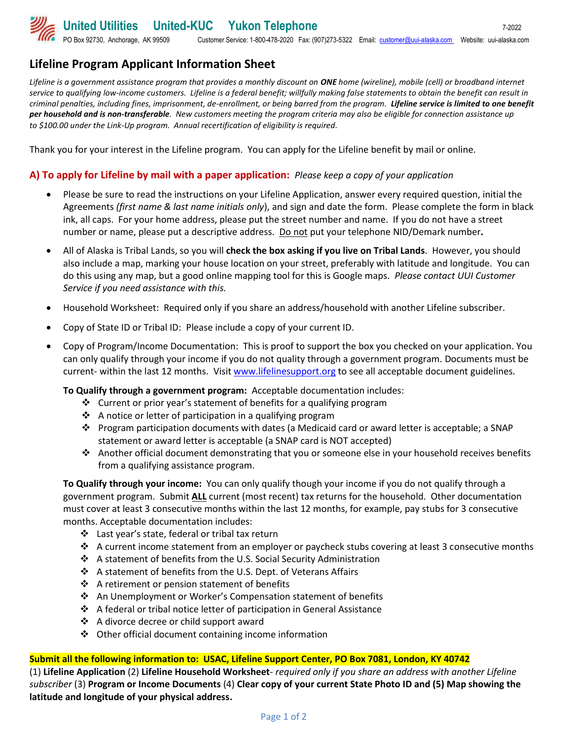# **Lifeline Program Applicant Information Sheet**

*Lifeline is a government assistance program that provides a monthly discount on ONE home (wireline), mobile (cell) or broadband internet service to qualifying low-income customers. Lifeline is a federal benefit; willfully making false statements to obtain the benefit can result in criminal penalties, including fines, imprisonment, de-enrollment, or being barred from the program. Lifeline service is limited to one benefit per household and is non-transferable. New customers meeting the program criteria may also be eligible for connection assistance up to \$100.00 under the Link-Up program. Annual recertification of eligibility is required.*

Thank you for your interest in the Lifeline program. You can apply for the Lifeline benefit by mail or online.

# **A) To apply for Lifeline by mail with a paper application:** *Please keep a copy of your application*

- Please be sure to read the instructions on your Lifeline Application, answer every required question, initial the Agreements *(first name & last name initials only*), and sign and date the form. Please complete the form in black ink, all caps. For your home address, please put the street number and name. If you do not have a street number or name, please put a descriptive address. Do not put your telephone NID/Demark number**.**
- All of Alaska is Tribal Lands, so you will **check the box asking if you live on Tribal Lands**. However, you should also include a map, marking your house location on your street, preferably with latitude and longitude. You can do this using any map, but a good online mapping tool for this is Google maps. *Please contact UUI Customer Service if you need assistance with this.*
- Household Worksheet: Required only if you share an address/household with another Lifeline subscriber.
- Copy of State ID or Tribal ID: Please include a copy of your current ID.
- Copy of Program/Income Documentation: This is proof to support the box you checked on your application. You can only qualify through your income if you do not quality through a government program. Documents must be current- within the last 12 months. Visit [www.lifelinesupport.org](http://www.lifelinesupport.org/) to see all acceptable document guidelines.

## **To Qualify through a government program:** Acceptable documentation includes:

- ❖ Current or prior year's statement of benefits for a qualifying program
- ❖ A notice or letter of participation in a qualifying program
- ❖ Program participation documents with dates (a Medicaid card or award letter is acceptable; a SNAP statement or award letter is acceptable (a SNAP card is NOT accepted)
- ◆ Another official document demonstrating that you or someone else in your household receives benefits from a qualifying assistance program.

**To Qualify through your income:** You can only qualify though your income if you do not qualify through a government program.Submit **ALL** current (most recent) tax returns for the household. Other documentation must cover at least 3 consecutive months within the last 12 months, for example, pay stubs for 3 consecutive months. Acceptable documentation includes:

- ❖ Last year's state, federal or tribal tax return
- $\dots$  A current income statement from an employer or paycheck stubs covering at least 3 consecutive months
- ❖ A statement of benefits from the U.S. Social Security Administration
- ❖ A statement of benefits from the U.S. Dept. of Veterans Affairs
- ❖ A retirement or pension statement of benefits
- ❖ An Unemployment or Worker's Compensation statement of benefits
- ❖ A federal or tribal notice letter of participation in General Assistance
- ❖ A divorce decree or child support award
- ❖ Other official document containing income information

## **Submit all the following information to: USAC, Lifeline Support Center, PO Box 7081, London, KY 40742**

(1) **Lifeline Application** (2) **Lifeline Household Worksheet***- required only if you share an address with another Lifeline subscriber* (3) **Program or Income Documents** (4) **Clear copy of your current State Photo ID and (5) Map showing the latitude and longitude of your physical address.**